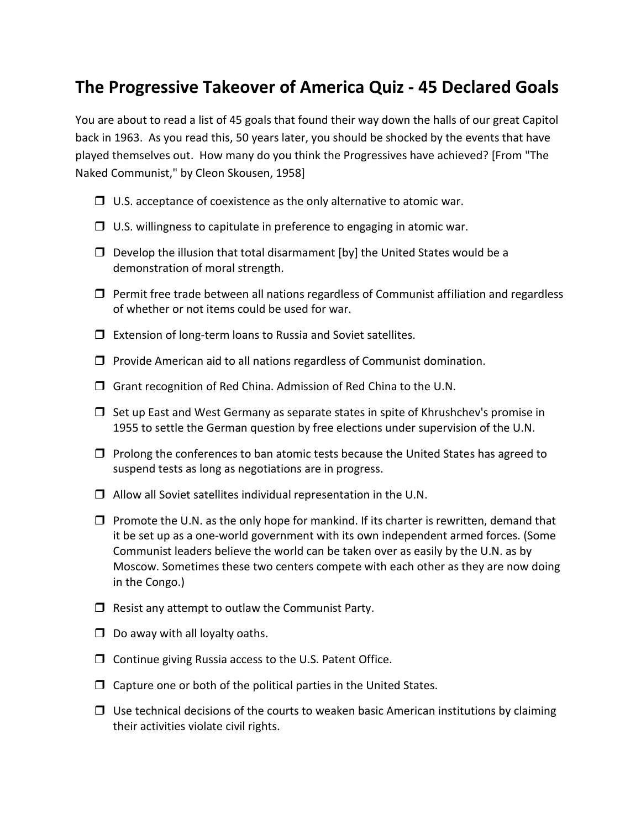## **The Progressive Takeover of America Quiz - 45 Declared Goals**

You are about to read a list of 45 goals that found their way down the halls of our great Capitol back in 1963. As you read this, 50 years later, you should be shocked by the events that have played themselves out. How many do you think the Progressives have achieved? [From "The Naked Communist," by Cleon Skousen, 1958]

- $\Box$  U.S. acceptance of coexistence as the only alternative to atomic war.
- $\Box$  U.S. willingness to capitulate in preference to engaging in atomic war.
- $\Box$  Develop the illusion that total disarmament [by] the United States would be a demonstration of moral strength.
- $\Box$  Permit free trade between all nations regardless of Communist affiliation and regardless of whether or not items could be used for war.
- $\Box$  Extension of long-term loans to Russia and Soviet satellites.
- $\Box$  Provide American aid to all nations regardless of Communist domination.
- $\Box$  Grant recognition of Red China. Admission of Red China to the U.N.
- $\Box$  Set up East and West Germany as separate states in spite of Khrushchev's promise in 1955 to settle the German question by free elections under supervision of the U.N.
- $\Box$  Prolong the conferences to ban atomic tests because the United States has agreed to suspend tests as long as negotiations are in progress.
- $\Box$  Allow all Soviet satellites individual representation in the U.N.
- $\Box$  Promote the U.N. as the only hope for mankind. If its charter is rewritten, demand that it be set up as a one-world government with its own independent armed forces. (Some Communist leaders believe the world can be taken over as easily by the U.N. as by Moscow. Sometimes these two centers compete with each other as they are now doing in the Congo.)
- $\Box$  Resist any attempt to outlaw the Communist Party.
- $\Box$  Do away with all loyalty oaths.
- $\Box$  Continue giving Russia access to the U.S. Patent Office.
- $\Box$  Capture one or both of the political parties in the United States.
- $\Box$  Use technical decisions of the courts to weaken basic American institutions by claiming their activities violate civil rights.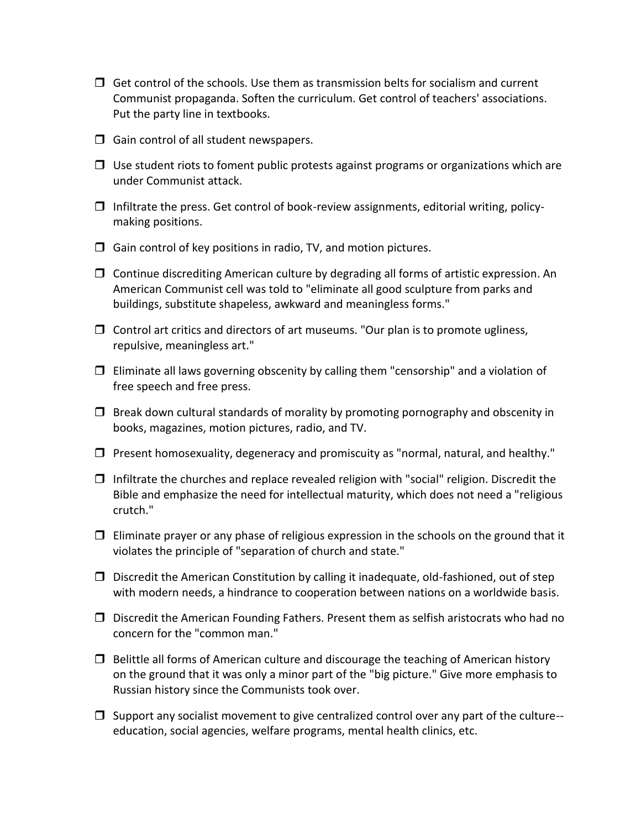- $\Box$  Get control of the schools. Use them as transmission belts for socialism and current Communist propaganda. Soften the curriculum. Get control of teachers' associations. Put the party line in textbooks.
- $\Box$  Gain control of all student newspapers.
- $\Box$  Use student riots to foment public protests against programs or organizations which are under Communist attack.
- $\Box$  Infiltrate the press. Get control of book-review assignments, editorial writing, policymaking positions.
- $\Box$  Gain control of key positions in radio, TV, and motion pictures.
- $\Box$  Continue discrediting American culture by degrading all forms of artistic expression. An American Communist cell was told to "eliminate all good sculpture from parks and buildings, substitute shapeless, awkward and meaningless forms."
- $\Box$  Control art critics and directors of art museums. "Our plan is to promote ugliness, repulsive, meaningless art."
- $\Box$  Eliminate all laws governing obscenity by calling them "censorship" and a violation of free speech and free press.
- $\Box$  Break down cultural standards of morality by promoting pornography and obscenity in books, magazines, motion pictures, radio, and TV.
- $\Box$  Present homosexuality, degeneracy and promiscuity as "normal, natural, and healthy."
- $\Box$  Infiltrate the churches and replace revealed religion with "social" religion. Discredit the Bible and emphasize the need for intellectual maturity, which does not need a "religious crutch."
- $\Box$  Eliminate prayer or any phase of religious expression in the schools on the ground that it violates the principle of "separation of church and state."
- $\Box$  Discredit the American Constitution by calling it inadequate, old-fashioned, out of step with modern needs, a hindrance to cooperation between nations on a worldwide basis.
- $\Box$  Discredit the American Founding Fathers. Present them as selfish aristocrats who had no concern for the "common man."
- $\Box$  Belittle all forms of American culture and discourage the teaching of American history on the ground that it was only a minor part of the "big picture." Give more emphasis to Russian history since the Communists took over.
- $\Box$  Support any socialist movement to give centralized control over any part of the culture-education, social agencies, welfare programs, mental health clinics, etc.